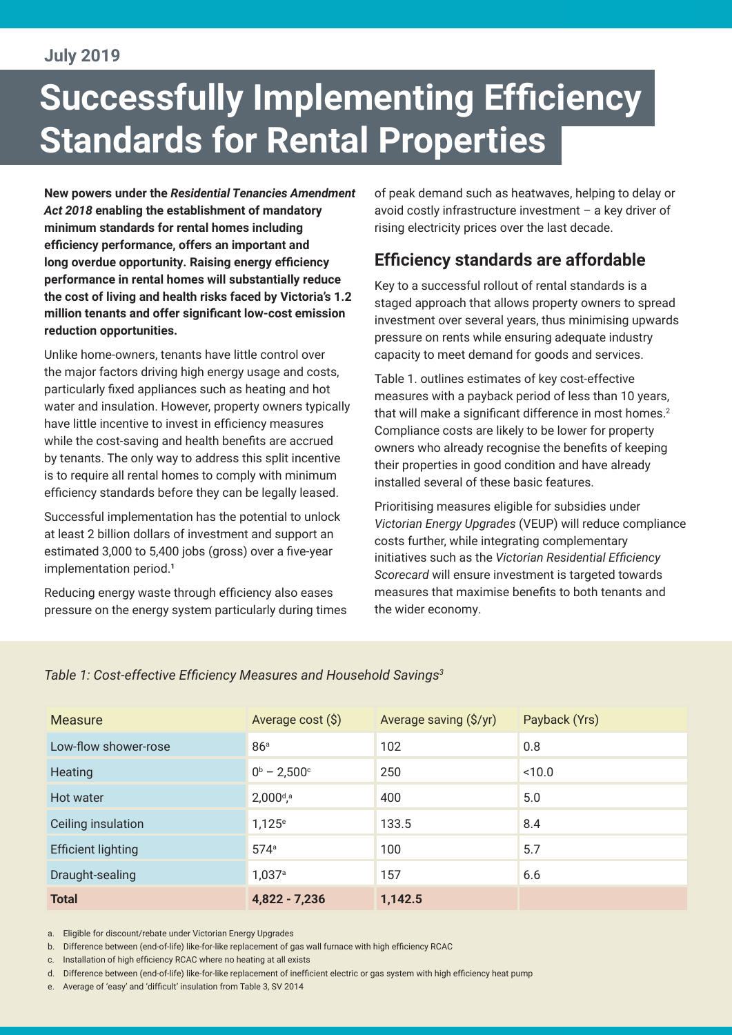# **Successfully Implementing Efficiency Standards for Rental Properties**

**New powers under the** *Residential Tenancies Amendment Act 2018* **enabling the establishment of mandatory minimum standards for rental homes including efficiency performance, offers an important and long overdue opportunity. Raising energy efficiency performance in rental homes will substantially reduce the cost of living and health risks faced by Victoria's 1.2 million tenants and offer significant low-cost emission reduction opportunities.**

Unlike home-owners, tenants have little control over the major factors driving high energy usage and costs, particularly fixed appliances such as heating and hot water and insulation. However, property owners typically have little incentive to invest in efficiency measures while the cost-saving and health benefits are accrued by tenants. The only way to address this split incentive is to require all rental homes to comply with minimum efficiency standards before they can be legally leased.

Successful implementation has the potential to unlock at least 2 billion dollars of investment and support an estimated 3,000 to 5,400 jobs (gross) over a five-year implementation period.**<sup>1</sup>**

Reducing energy waste through efficiency also eases pressure on the energy system particularly during times of peak demand such as heatwaves, helping to delay or avoid costly infrastructure investment – a key driver of rising electricity prices over the last decade.

## **Efficiency standards are affordable**

Key to a successful rollout of rental standards is a staged approach that allows property owners to spread investment over several years, thus minimising upwards pressure on rents while ensuring adequate industry capacity to meet demand for goods and services.

Table 1. outlines estimates of key cost-effective measures with a payback period of less than 10 years, that will make a significant difference in most homes.<sup>2</sup> Compliance costs are likely to be lower for property owners who already recognise the benefits of keeping their properties in good condition and have already installed several of these basic features.

Prioritising measures eligible for subsidies under *Victorian Energy Upgrades* (VEUP) will reduce compliance costs further, while integrating complementary initiatives such as the *Victorian Residential Efficiency Scorecard* will ensure investment is targeted towards measures that maximise benefits to both tenants and the wider economy.

#### *Table 1: Cost-effective Efficiency Measures and Household Savings3*

| <b>Measure</b>            | Average cost (\$)              | Average saving (\$/yr) | Payback (Yrs) |
|---------------------------|--------------------------------|------------------------|---------------|
| Low-flow shower-rose      | 86 <sup>a</sup>                | 102                    | 0.8           |
| <b>Heating</b>            | $0^{\rm b}$ – 2,500 $^{\rm c}$ | 250                    | ~10.0         |
| Hot water                 | $2,000^{d,a}$                  | 400                    | 5.0           |
| Ceiling insulation        | $1,125^e$                      | 133.5                  | 8.4           |
| <b>Efficient lighting</b> | 574 <sup>a</sup>               | 100                    | 5.7           |
| Draught-sealing           | $1,037$ <sup>a</sup>           | 157                    | 6.6           |
| <b>Total</b>              | $4,822 - 7,236$                | 1,142.5                |               |

a. Eligible for discount/rebate under Victorian Energy Upgrades

b. Difference between (end-of-life) like-for-like replacement of gas wall furnace with high efficiency RCAC

c. Installation of high efficiency RCAC where no heating at all exists

d. Difference between (end-of-life) like-for-like replacement of inefficient electric or gas system with high efficiency heat pump

e. Average of 'easy' and 'difficult' insulation from Table 3, SV 2014